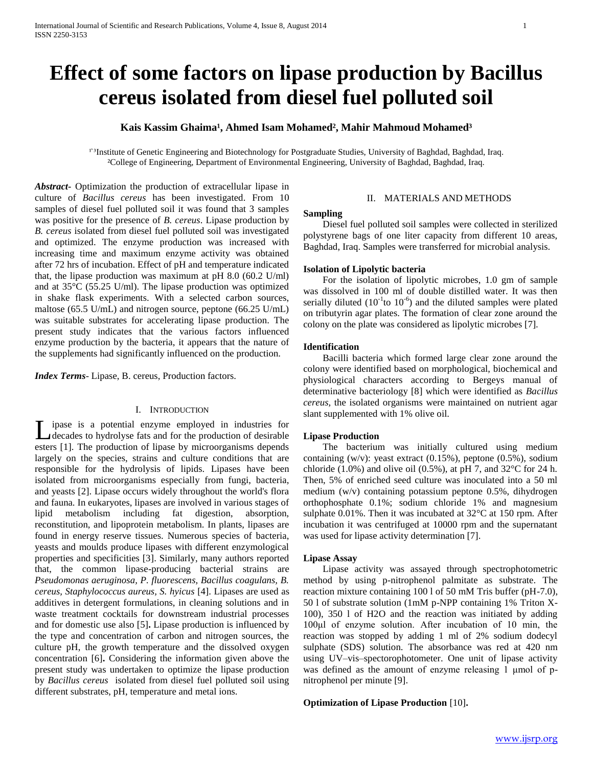# **Effect of some factors on lipase production by Bacillus cereus isolated from diesel fuel polluted soil**

# Kais Kassim Ghaima<sup>1</sup>, Ahmed Isam Mohamed<sup>2</sup>, Mahir Mahmoud Mohamed<sup>3</sup>

<sup>1'3</sup>Institute of Genetic Engineering and Biotechnology for Postgraduate Studies, University of Baghdad, Baghdad, Iraq. ²College of Engineering, Department of Environmental Engineering, University of Baghdad, Baghdad, Iraq.

*Abstract***-** Optimization the production of extracellular lipase in culture of *Bacillus cereus* has been investigated. From 10 samples of diesel fuel polluted soil it was found that 3 samples was positive for the presence of *B. cereus*. Lipase production by *B. cereus* isolated from diesel fuel polluted soil was investigated and optimized. The enzyme production was increased with increasing time and maximum enzyme activity was obtained after 72 hrs of incubation. Effect of pH and temperature indicated that, the lipase production was maximum at pH 8.0 (60.2 U/ml) and at 35°C (55.25 U/ml). The lipase production was optimized in shake flask experiments. With a selected carbon sources, maltose (65.5 U/mL) and nitrogen source, peptone (66.25 U/mL) was suitable substrates for accelerating lipase production. The present study indicates that the various factors influenced enzyme production by the bacteria, it appears that the nature of the supplements had significantly influenced on the production.

*Index Terms*- Lipase, B. cereus, Production factors.

## I. INTRODUCTION

**L** ipase is a potential enzyme employed in industries for decades to hydrolyse fats and for the production of desirable decades to hydrolyse fats and for the production of desirable esters [1]. The production of lipase by microorganisms depends largely on the species, strains and culture conditions that are responsible for the hydrolysis of lipids. Lipases have been isolated from microorganisms especially from fungi, bacteria, and yeasts [2]. Lipase occurs widely throughout the world's flora and fauna. In eukaryotes, lipases are involved in various stages of lipid metabolism including fat digestion, absorption, reconstitution, and lipoprotein metabolism. In plants, lipases are found in energy reserve tissues. Numerous species of bacteria, yeasts and moulds produce lipases with different enzymological properties and specificities [3]. Similarly, many authors reported that, the common lipase-producing bacterial strains are *Pseudomonas aeruginosa, P. fluorescens, Bacillus coagulans, B. cereus, Staphylococcus aureus, S. hyicus* [4]. Lipases are used as additives in detergent formulations, in cleaning solutions and in waste treatment cocktails for downstream industrial processes and for domestic use also [5]**.** Lipase production is influenced by the type and concentration of carbon and nitrogen sources, the culture pH, the growth temperature and the dissolved oxygen concentration [6]**.** Considering the information given above the present study was undertaken to optimize the lipase production by *Bacillus cereus* isolated from diesel fuel polluted soil using different substrates, pH, temperature and metal ions.

## II. MATERIALS AND METHODS

#### **Sampling**

 Diesel fuel polluted soil samples were collected in sterilized polystyrene bags of one liter capacity from different 10 areas, Baghdad, Iraq. Samples were transferred for microbial analysis.

### **Isolation of Lipolytic bacteria**

 For the isolation of lipolytic microbes, 1.0 gm of sample was dissolved in 100 ml of double distilled water. It was then serially diluted  $(10^{-1}$ to  $10^{-6}$ ) and the diluted samples were plated on tributyrin agar plates. The formation of clear zone around the colony on the plate was considered as lipolytic microbes [7].

#### **Identification**

 Bacilli bacteria which formed large clear zone around the colony were identified based on morphological, biochemical and physiological characters according to Bergeys manual of determinative bacteriology [8] which were identified as *Bacillus cereus,* the isolated organisms were maintained on nutrient agar slant supplemented with 1% olive oil.

#### **Lipase Production**

 The bacterium was initially cultured using medium containing (w/v): yeast extract (0.15%), peptone (0.5%), sodium chloride (1.0%) and olive oil (0.5%), at pH 7, and  $32^{\circ}$ C for 24 h. Then, 5% of enriched seed culture was inoculated into a 50 ml medium (w/v) containing potassium peptone 0.5%, dihydrogen orthophosphate 0.1%; sodium chloride 1% and magnesium sulphate 0.01%. Then it was incubated at 32°C at 150 rpm. After incubation it was centrifuged at 10000 rpm and the supernatant was used for lipase activity determination [7].

## **Lipase Assay**

 Lipase activity was assayed through spectrophotometric method by using p-nitrophenol palmitate as substrate. The reaction mixture containing 100 l of 50 mM Tris buffer (pH-7.0), 50 l of substrate solution (1mM p-NPP containing 1% Triton X-100), 350 l of H2O and the reaction was initiated by adding 100μl of enzyme solution. After incubation of 10 min, the reaction was stopped by adding 1 ml of 2% sodium dodecyl sulphate (SDS) solution. The absorbance was red at 420 nm using UV–vis–spectorophotometer. One unit of lipase activity was defined as the amount of enzyme releasing 1 μmol of pnitrophenol per minute [9].

## **Optimization of Lipase Production** [10]**.**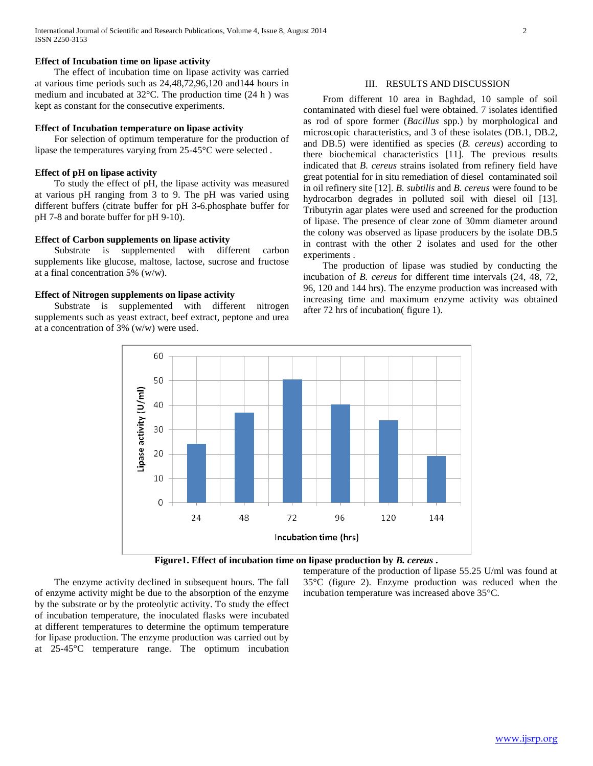## **Effect of Incubation time on lipase activity**

 The effect of incubation time on lipase activity was carried at various time periods such as 24,48,72,96,120 and144 hours in medium and incubated at 32°C. The production time (24 h ) was kept as constant for the consecutive experiments.

## **Effect of Incubation temperature on lipase activity**

 For selection of optimum temperature for the production of lipase the temperatures varying from 25-45°C were selected .

#### **Effect of pH on lipase activity**

 To study the effect of pH, the lipase activity was measured at various pH ranging from 3 to 9. The pH was varied using different buffers (citrate buffer for pH 3-6.phosphate buffer for pH 7-8 and borate buffer for pH 9-10).

## **Effect of Carbon supplements on lipase activity**

 Substrate is supplemented with different carbon supplements like glucose, maltose, lactose, sucrose and fructose at a final concentration 5% (w/w).

## **Effect of Nitrogen supplements on lipase activity**

 Substrate is supplemented with different nitrogen supplements such as yeast extract, beef extract, peptone and urea at a concentration of 3% (w/w) were used.

## III. RESULTS AND DISCUSSION

 From different 10 area in Baghdad, 10 sample of soil contaminated with diesel fuel were obtained. 7 isolates identified as rod of spore former (*Bacillus* spp.) by morphological and microscopic characteristics, and 3 of these isolates (DB.1, DB.2, and DB.5) were identified as species (*B. cereus*) according to there biochemical characteristics [11]. The previous results indicated that *B. cereus* strains isolated from refinery field have great potential for in situ remediation of diesel contaminated soil in oil refinery site [12]. *B. subtilis* and *B. cereus* were found to be hydrocarbon degrades in polluted soil with diesel oil [13]. Tributyrin agar plates were used and screened for the production of lipase. The presence of clear zone of 30mm diameter around the colony was observed as lipase producers by the isolate DB.5 in contrast with the other 2 isolates and used for the other experiments .

 The production of lipase was studied by conducting the incubation of *B. cereus* for different time intervals (24, 48, 72, 96, 120 and 144 hrs). The enzyme production was increased with increasing time and maximum enzyme activity was obtained after 72 hrs of incubation( figure 1).



**Figure1. Effect of incubation time on lipase production by** *B. cereus* **.**

 The enzyme activity declined in subsequent hours. The fall of enzyme activity might be due to the absorption of the enzyme by the substrate or by the proteolytic activity. To study the effect of incubation temperature, the inoculated flasks were incubated at different temperatures to determine the optimum temperature for lipase production. The enzyme production was carried out by at 25-45°C temperature range. The optimum incubation temperature of the production of lipase 55.25 U/ml was found at 35°C (figure 2). Enzyme production was reduced when the incubation temperature was increased above 35°C.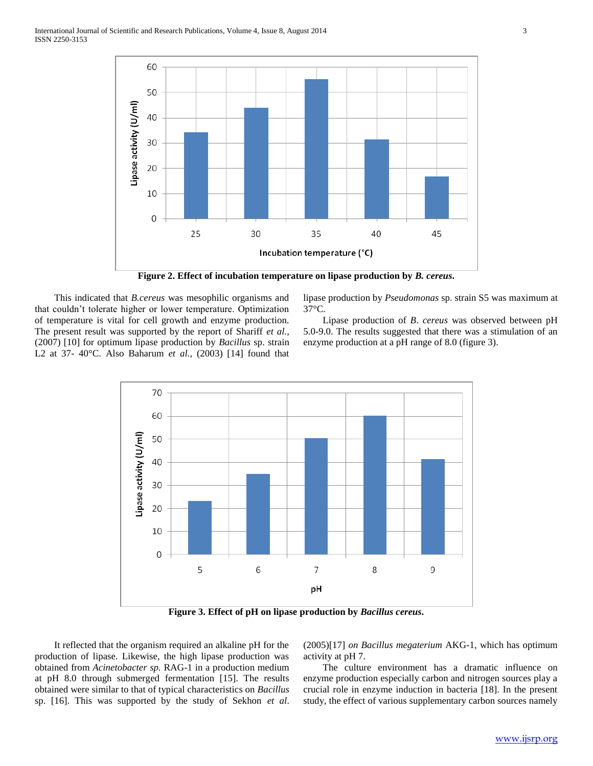

**Figure 2. Effect of incubation temperature on lipase production by** *B. cereus***.**

 This indicated that *B.cereus* was mesophilic organisms and that couldn't tolerate higher or lower temperature. Optimization of temperature is vital for cell growth and enzyme production. The present result was supported by the report of Shariff *et al.,*  (2007) [10] for optimum lipase production by *Bacillus* sp. strain L2 at 37- 40°C. Also Baharum *et al.,* (2003) [14] found that

lipase production by *Pseudomonas* sp. strain S5 was maximum at 37°C.

 Lipase production of *B*. *cereus* was observed between pH 5.0-9.0. The results suggested that there was a stimulation of an enzyme production at a pH range of 8.0 (figure 3).



**Figure 3. Effect of pH on lipase production by** *Bacillus cereus***.**

 It reflected that the organism required an alkaline pH for the production of lipase. Likewise, the high lipase production was obtained from *Acinetobacter sp.* RAG-1 in a production medium at pH 8.0 through submerged fermentation [15]. The results obtained were similar to that of typical characteristics on *Bacillus*  sp. [16]. This was supported by the study of Sekhon *et al*. (2005)[17] *on Bacillus megaterium* AKG-1, which has optimum activity at pH 7.

 The culture environment has a dramatic influence on enzyme production especially carbon and nitrogen sources play a crucial role in enzyme induction in bacteria [18]. In the present study, the effect of various supplementary carbon sources namely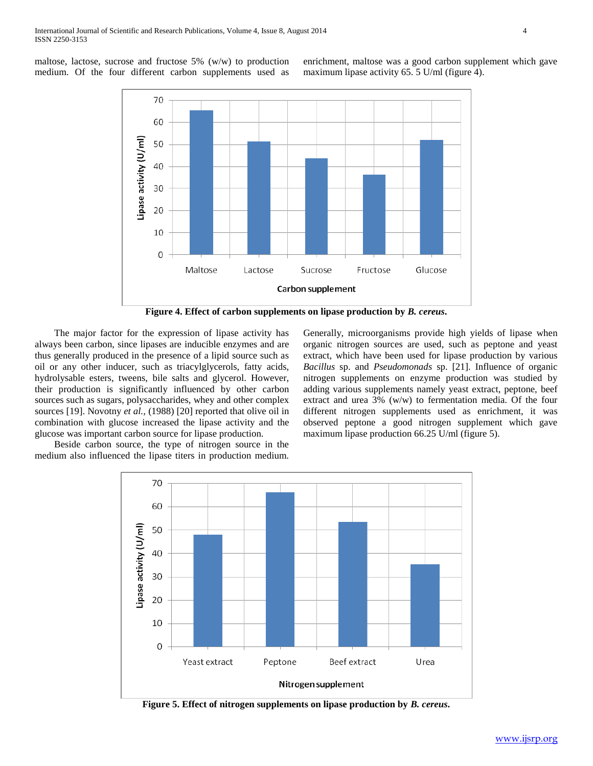maltose, lactose, sucrose and fructose 5% (w/w) to production medium. Of the four different carbon supplements used as enrichment, maltose was a good carbon supplement which gave maximum lipase activity 65. 5 U/ml (figure 4).



**Figure 4. Effect of carbon supplements on lipase production by** *B. cereus***.**

 The major factor for the expression of lipase activity has always been carbon, since lipases are inducible enzymes and are thus generally produced in the presence of a lipid source such as oil or any other inducer, such as triacylglycerols, fatty acids, hydrolysable esters, tweens, bile salts and glycerol. However, their production is significantly influenced by other carbon sources such as sugars, polysaccharides, whey and other complex sources [19]. Novotny *et al.,* (1988) [20] reported that olive oil in combination with glucose increased the lipase activity and the glucose was important carbon source for lipase production.

 Beside carbon source, the type of nitrogen source in the medium also influenced the lipase titers in production medium. Generally, microorganisms provide high yields of lipase when organic nitrogen sources are used, such as peptone and yeast extract, which have been used for lipase production by various *Bacillus* sp. and *Pseudomonads* sp. [21]. Influence of organic nitrogen supplements on enzyme production was studied by adding various supplements namely yeast extract, peptone, beef extract and urea 3% (w/w) to fermentation media. Of the four different nitrogen supplements used as enrichment, it was observed peptone a good nitrogen supplement which gave maximum lipase production 66.25 U/ml (figure 5).



**Figure 5. Effect of nitrogen supplements on lipase production by** *B. cereus***.**